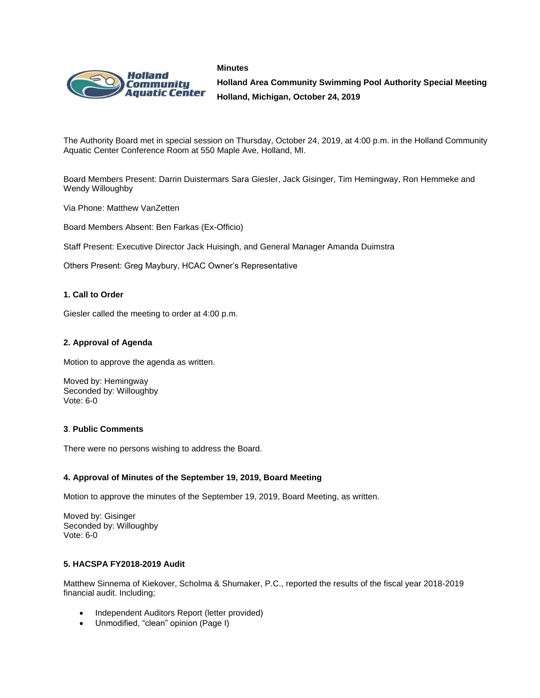



**Holland Area Community Swimming Pool Authority Special Meeting Holland, Michigan, October 24, 2019**

The Authority Board met in special session on Thursday, October 24, 2019, at 4:00 p.m. in the Holland Community Aquatic Center Conference Room at 550 Maple Ave, Holland, MI.

Board Members Present: Darrin Duistermars Sara Giesler, Jack Gisinger, Tim Hemingway, Ron Hemmeke and Wendy Willoughby

Via Phone: Matthew VanZetten

Board Members Absent: Ben Farkas (Ex-Officio)

Staff Present: Executive Director Jack Huisingh, and General Manager Amanda Duimstra

Others Present: Greg Maybury, HCAC Owner's Representative

#### **1. Call to Order**

Giesler called the meeting to order at 4:00 p.m.

## **2. Approval of Agenda**

Motion to approve the agenda as written.

Moved by: Hemingway Seconded by: Willoughby Vote: 6-0

#### **3**. **Public Comments**

There were no persons wishing to address the Board.

#### **4. Approval of Minutes of the September 19, 2019, Board Meeting**

Motion to approve the minutes of the September 19, 2019, Board Meeting, as written.

Moved by: Gisinger Seconded by: Willoughby Vote: 6-0

# **5. HACSPA FY2018-2019 Audit**

Matthew Sinnema of Kiekover, Scholma & Shumaker, P.C., reported the results of the fiscal year 2018-2019 financial audit. Including;

- Independent Auditors Report (letter provided)
- Unmodified, "clean" opinion (Page I)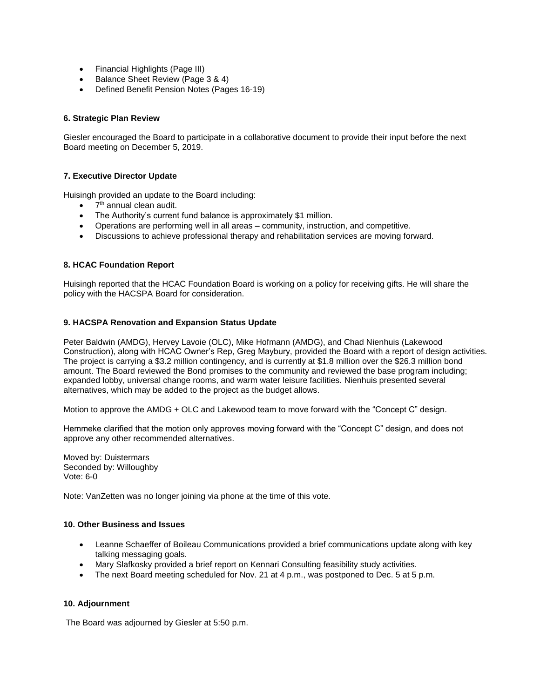- Financial Highlights (Page III)
- Balance Sheet Review (Page 3 & 4)
- Defined Benefit Pension Notes (Pages 16-19)

# **6. Strategic Plan Review**

Giesler encouraged the Board to participate in a collaborative document to provide their input before the next Board meeting on December 5, 2019.

## **7. Executive Director Update**

Huisingh provided an update to the Board including:

- $\bullet$   $7<sup>th</sup>$  annual clean audit.
- The Authority's current fund balance is approximately \$1 million.
- Operations are performing well in all areas community, instruction, and competitive.
- Discussions to achieve professional therapy and rehabilitation services are moving forward.

## **8. HCAC Foundation Report**

Huisingh reported that the HCAC Foundation Board is working on a policy for receiving gifts. He will share the policy with the HACSPA Board for consideration.

## **9. HACSPA Renovation and Expansion Status Update**

Peter Baldwin (AMDG), Hervey Lavoie (OLC), Mike Hofmann (AMDG), and Chad Nienhuis (Lakewood Construction), along with HCAC Owner's Rep, Greg Maybury, provided the Board with a report of design activities. The project is carrying a \$3.2 million contingency, and is currently at \$1.8 million over the \$26.3 million bond amount. The Board reviewed the Bond promises to the community and reviewed the base program including; expanded lobby, universal change rooms, and warm water leisure facilities. Nienhuis presented several alternatives, which may be added to the project as the budget allows.

Motion to approve the AMDG + OLC and Lakewood team to move forward with the "Concept C" design.

Hemmeke clarified that the motion only approves moving forward with the "Concept C" design, and does not approve any other recommended alternatives.

Moved by: Duistermars Seconded by: Willoughby Vote: 6-0

Note: VanZetten was no longer joining via phone at the time of this vote.

### **10. Other Business and Issues**

- Leanne Schaeffer of Boileau Communications provided a brief communications update along with key talking messaging goals.
- Mary Slafkosky provided a brief report on Kennari Consulting feasibility study activities.
- The next Board meeting scheduled for Nov. 21 at 4 p.m., was postponed to Dec. 5 at 5 p.m.

#### **10. Adjournment**

The Board was adjourned by Giesler at 5:50 p.m.